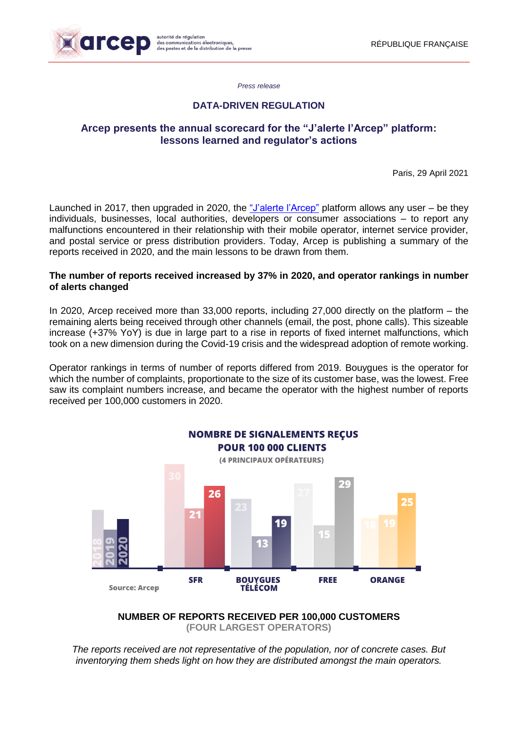

*Press release*

## **DATA-DRIVEN REGULATION**

## **Arcep presents the annual scorecard for the "J'alerte l'Arcep" platform: lessons learned and regulator's actions**

Paris, 29 April 2021

Launched in 2017, then upgraded in 2020, the ["J'alerte l'Arcep"](https://jalerte.arcep.fr/) platform allows any user – be they individuals, businesses, local authorities, developers or consumer associations – to report any malfunctions encountered in their relationship with their mobile operator, internet service provider, and postal service or press distribution providers. Today, Arcep is publishing a summary of the reports received in 2020, and the main lessons to be drawn from them.

#### **The number of reports received increased by 37% in 2020, and operator rankings in number of alerts changed**

In 2020, Arcep received more than 33,000 reports, including 27,000 directly on the platform – the remaining alerts being received through other channels (email, the post, phone calls). This sizeable increase (+37% YoY) is due in large part to a rise in reports of fixed internet malfunctions, which took on a new dimension during the Covid-19 crisis and the widespread adoption of remote working.

Operator rankings in terms of number of reports differed from 2019. Bouygues is the operator for which the number of complaints, proportionate to the size of its customer base, was the lowest. Free saw its complaint numbers increase, and became the operator with the highest number of reports received per 100,000 customers in 2020.



**NUMBER OF REPORTS RECEIVED PER 100,000 CUSTOMERS (FOUR LARGEST OPERATORS)**

*The reports received are not representative of the population, nor of concrete cases. But inventorying them sheds light on how they are distributed amongst the main operators.*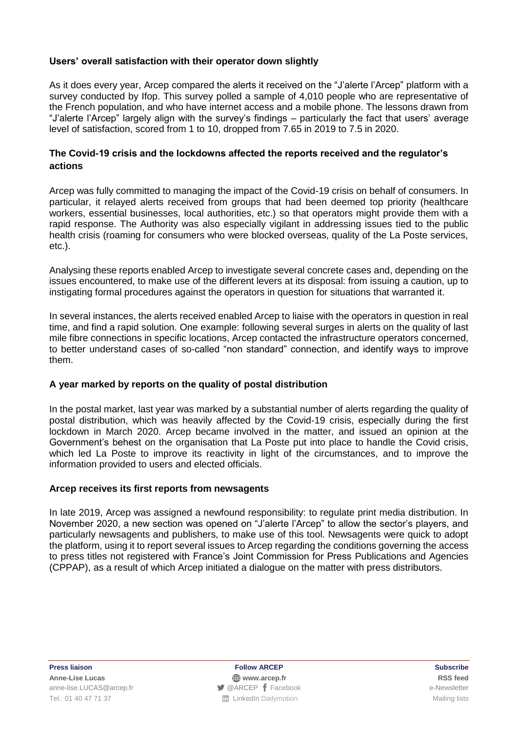## **Users' overall satisfaction with their operator down slightly**

As it does every year, Arcep compared the alerts it received on the "J'alerte l'Arcep" platform with a survey conducted by Ifop. This survey polled a sample of 4,010 people who are representative of the French population, and who have internet access and a mobile phone. The lessons drawn from "J'alerte l'Arcep" largely align with the survey's findings – particularly the fact that users' average level of satisfaction, scored from 1 to 10, dropped from 7.65 in 2019 to 7.5 in 2020.

## **The Covid-19 crisis and the lockdowns affected the reports received and the regulator's actions**

Arcep was fully committed to managing the impact of the Covid-19 crisis on behalf of consumers. In particular, it relayed alerts received from groups that had been deemed top priority (healthcare workers, essential businesses, local authorities, etc.) so that operators might provide them with a rapid response. The Authority was also especially vigilant in addressing issues tied to the public health crisis (roaming for consumers who were blocked overseas, quality of the La Poste services, etc.).

Analysing these reports enabled Arcep to investigate several concrete cases and, depending on the issues encountered, to make use of the different levers at its disposal: from issuing a caution, up to instigating formal procedures against the operators in question for situations that warranted it.

In several instances, the alerts received enabled Arcep to liaise with the operators in question in real time, and find a rapid solution. One example: following several surges in alerts on the quality of last mile fibre connections in specific locations, Arcep contacted the infrastructure operators concerned, to better understand cases of so-called "non standard" connection, and identify ways to improve them.

## **A year marked by reports on the quality of postal distribution**

In the postal market, last year was marked by a substantial number of alerts regarding the quality of postal distribution, which was heavily affected by the Covid-19 crisis, especially during the first lockdown in March 2020. Arcep became involved in the matter, and issued an opinion at the Government's behest on the organisation that La Poste put into place to handle the Covid crisis, which led La Poste to improve its reactivity in light of the circumstances, and to improve the information provided to users and elected officials.

## **Arcep receives its first reports from newsagents**

In late 2019, Arcep was assigned a newfound responsibility: to regulate print media distribution. In November 2020, a new section was opened on "J'alerte l'Arcep" to allow the sector's players, and particularly newsagents and publishers, to make use of this tool. Newsagents were quick to adopt the platform, using it to report several issues to Arcep regarding the conditions governing the access to press titles not registered with France's Joint Commission for Press Publications and Agencies (CPPAP), as a result of which Arcep initiated a dialogue on the matter with press distributors.

**Press liaison Follow ARCEP Subscribe**